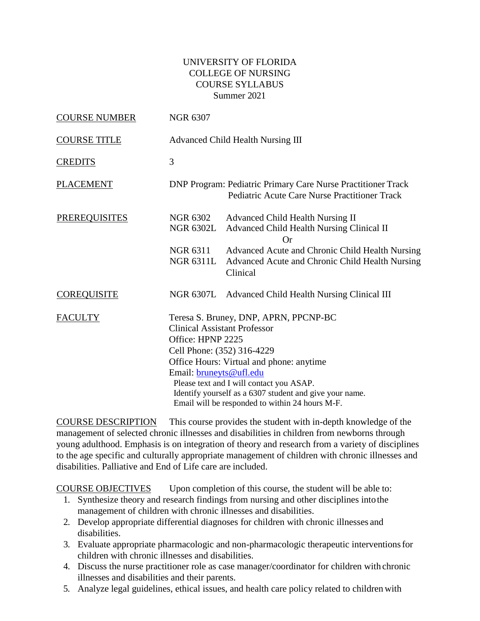# UNIVERSITY OF FLORIDA COLLEGE OF NURSING COURSE SYLLABUS Summer 2021

| <b>COURSE NUMBER</b> | <b>NGR 6307</b>                                     |                                                                                                                                                                                                                                                                                                                  |
|----------------------|-----------------------------------------------------|------------------------------------------------------------------------------------------------------------------------------------------------------------------------------------------------------------------------------------------------------------------------------------------------------------------|
| <b>COURSE TITLE</b>  |                                                     | <b>Advanced Child Health Nursing III</b>                                                                                                                                                                                                                                                                         |
| <b>CREDITS</b>       | 3                                                   |                                                                                                                                                                                                                                                                                                                  |
| <b>PLACEMENT</b>     |                                                     | <b>DNP Program: Pediatric Primary Care Nurse Practitioner Track</b><br>Pediatric Acute Care Nurse Practitioner Track                                                                                                                                                                                             |
| <b>PREREQUISITES</b> | NGR 6302<br><b>NGR 6302L</b>                        | <b>Advanced Child Health Nursing II</b><br>Advanced Child Health Nursing Clinical II<br>Or                                                                                                                                                                                                                       |
|                      | NGR 6311<br><b>NGR 6311L</b>                        | Advanced Acute and Chronic Child Health Nursing<br>Advanced Acute and Chronic Child Health Nursing<br>Clinical                                                                                                                                                                                                   |
| <b>COREQUISITE</b>   |                                                     | NGR 6307L Advanced Child Health Nursing Clinical III                                                                                                                                                                                                                                                             |
| <b>FACULTY</b>       | Office: HPNP 2225<br>Email: <b>bruneyts@ufl.edu</b> | Teresa S. Bruney, DNP, APRN, PPCNP-BC<br><b>Clinical Assistant Professor</b><br>Cell Phone: (352) 316-4229<br>Office Hours: Virtual and phone: anytime<br>Please text and I will contact you ASAP.<br>Identify yourself as a 6307 student and give your name.<br>Email will be responded to within 24 hours M-F. |

COURSE DESCRIPTION This course provides the student with in-depth knowledge of the management of selected chronic illnesses and disabilities in children from newborns through young adulthood. Emphasis is on integration of theory and research from a variety of disciplines to the age specific and culturally appropriate management of children with chronic illnesses and disabilities. Palliative and End of Life care are included.

COURSE OBJECTIVES Upon completion of this course, the student will be able to:

- 1. Synthesize theory and research findings from nursing and other disciplines intothe management of children with chronic illnesses and disabilities.
- 2. Develop appropriate differential diagnoses for children with chronic illnesses and disabilities.
- 3. Evaluate appropriate pharmacologic and non-pharmacologic therapeutic interventionsfor children with chronic illnesses and disabilities.
- 4. Discuss the nurse practitioner role as case manager/coordinator for children with chronic illnesses and disabilities and their parents.
- 5. Analyze legal guidelines, ethical issues, and health care policy related to children with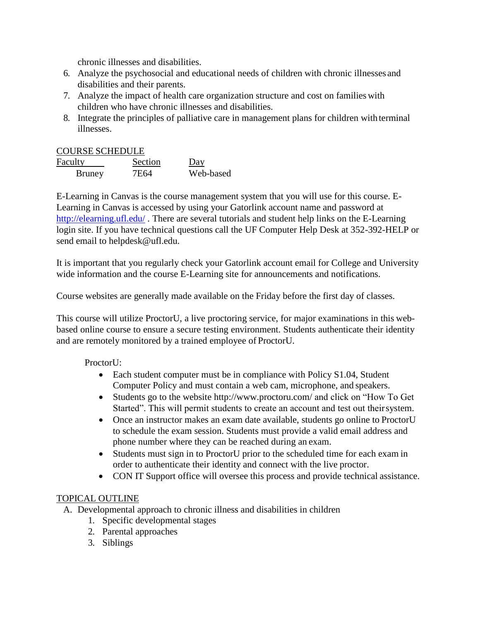chronic illnesses and disabilities.

- 6. Analyze the psychosocial and educational needs of children with chronic illnesses and disabilities and their parents.
- 7. Analyze the impact of health care organization structure and cost on familieswith children who have chronic illnesses and disabilities.
- 8. Integrate the principles of palliative care in management plans for children with terminal illnesses.

## COURSE SCHEDULE

| Faculty | Section | Day       |
|---------|---------|-----------|
| Bruney  | 7E64    | Web-based |

E-Learning in Canvas is the course management system that you will use for this course. E-Learning in Canvas is accessed by using your Gatorlink account name and password at [http://elearning.ufl.edu/](about:blank) . There are several tutorials and student help links on the E-Learning login site. If you have technical questions call the UF Computer Help Desk at 352-392-HELP or send email to [helpdesk@ufl.edu.](about:blank)

It is important that you regularly check your Gatorlink account email for College and University wide information and the course E-Learning site for announcements and notifications.

Course websites are generally made available on the Friday before the first day of classes.

This course will utilize ProctorU, a live proctoring service, for major examinations in this webbased online course to ensure a secure testing environment. Students authenticate their identity and are remotely monitored by a trained employee of ProctorU.

## ProctorU:

- Each student computer must be in compliance with Policy S1.04, Student Computer Policy and must contain a web cam, microphone, and speakers.
- Students go to the website [http://www.proctoru.com/ a](about:blank)nd click on "How To Get Started". This will permit students to create an account and test out theirsystem.
- Once an instructor makes an exam date available, students go online to ProctorU to schedule the exam session. Students must provide a valid email address and phone number where they can be reached during an exam.
- Students must sign in to ProctorU prior to the scheduled time for each exam in order to authenticate their identity and connect with the live proctor.
- CON IT Support office will oversee this process and provide technical assistance.

## TOPICAL OUTLINE

- A. Developmental approach to chronic illness and disabilities in children
	- 1. Specific developmental stages
	- 2. Parental approaches
	- 3. Siblings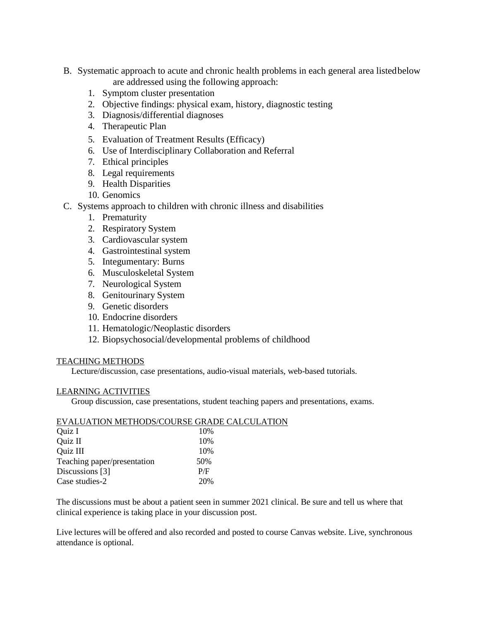- B. Systematic approach to acute and chronic health problems in each general area listedbelow are addressed using the following approach:
	- 1. Symptom cluster presentation
	- 2. Objective findings: physical exam, history, diagnostic testing
	- 3. Diagnosis/differential diagnoses
	- 4. Therapeutic Plan
	- 5. Evaluation of Treatment Results (Efficacy)
	- 6. Use of Interdisciplinary Collaboration and Referral
	- 7. Ethical principles
	- 8. Legal requirements
	- 9. Health Disparities
	- 10. Genomics
- C. Systems approach to children with chronic illness and disabilities
	- 1. Prematurity
	- 2. Respiratory System
	- 3. Cardiovascular system
	- 4. Gastrointestinal system
	- 5. Integumentary: Burns
	- 6. Musculoskeletal System
	- 7. Neurological System
	- 8. Genitourinary System
	- 9. Genetic disorders
	- 10. Endocrine disorders
	- 11. Hematologic/Neoplastic disorders
	- 12. Biopsychosocial/developmental problems of childhood

### TEACHING METHODS

Lecture/discussion, case presentations, audio-visual materials, web-based tutorials.

#### LEARNING ACTIVITIES

Group discussion, case presentations, student teaching papers and presentations, exams.

|                             | EVALUATION METHODS/COURSE GRADE CALCULATION |
|-----------------------------|---------------------------------------------|
| Quiz I                      | 10%                                         |
| Quiz II                     | 10%                                         |
| Quiz III                    | 10%                                         |
| Teaching paper/presentation | 50%                                         |
| Discussions [3]             | P/F                                         |
| Case studies-2              | 20%                                         |

The discussions must be about a patient seen in summer 2021 clinical. Be sure and tell us where that clinical experience is taking place in your discussion post.

Live lectures will be offered and also recorded and posted to course Canvas website. Live, synchronous attendance is optional.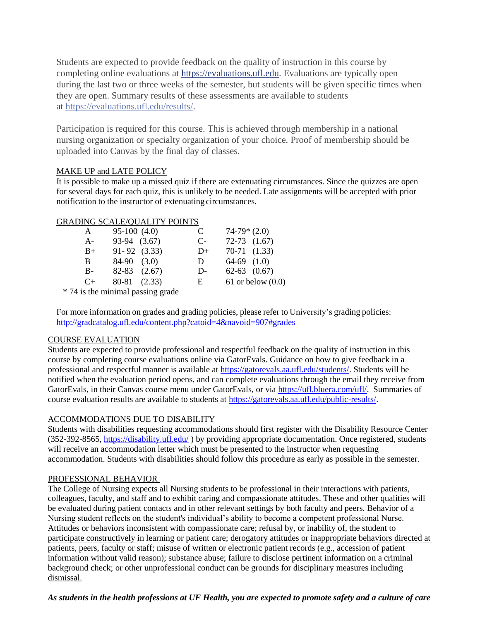Students are expected to provide feedback on the quality of instruction in this course by completing online evaluations at [https://evaluations.ufl.edu.](about:blank) Evaluations are typically open during the last two or three weeks of the semester, but students will be given specific times when they are open. Summary results of these assessments are available to students at [https://evaluations.ufl.edu/results/.](about:blank)

Participation is required for this course. This is achieved through membership in a national nursing organization or specialty organization of your choice. Proof of membership should be uploaded into Canvas by the final day of classes.

#### MAKE UP and LATE POLICY

It is possible to make up a missed quiz if there are extenuating circumstances. Since the quizzes are open for several days for each quiz, this is unlikely to be needed. Late assignments will be accepted with prior notification to the instructor of extenuating circumstances.

### GRADING SCALE/QUALITY POINTS

| A         | $95-100(4.0)$    | C    | $74-79*(2.0)$       |
|-----------|------------------|------|---------------------|
| $A -$     | 93-94 (3.67)     | $C-$ | $72-73$ $(1.67)$    |
| $B+$      | $91 - 92$ (3.33) | $D+$ | $70-71$ $(1.33)$    |
| B.        | $84-90$ $(3.0)$  | D.   | $64-69$ $(1.0)$     |
| $B -$     | $82-83$ $(2.67)$ | $D-$ | $62-63$ $(0.67)$    |
| $C_{\pm}$ | 80-81 (2.33)     | E.   | 61 or below $(0.0)$ |
| .         |                  |      |                     |

\* 74 is the minimal passing grade

For more information on grades and grading policies, please refer to University's grading policies: [http://gradcatalog.ufl.edu/content.php?catoid=4&navoid=907#grades](about:blank)

### COURSE EVALUATION

Students are expected to provide professional and respectful feedback on the quality of instruction in this course by completing course evaluations online via GatorEvals. Guidance on how to give feedback in a professional and respectful manner is available at [https://gatorevals.aa.ufl.edu/students/.](about:blank) Students will be notified when the evaluation period opens, and can complete evaluations through the email they receive from GatorEvals, in their Canvas course menu under GatorEvals, or via [https://ufl.bluera.com/ufl/.](about:blank) Summaries of course evaluation results are available to students at [https://gatorevals.aa.ufl.edu/public-results/.](about:blank)

### ACCOMMODATIONS DUE TO DISABILITY

Students with disabilities requesting accommodations should first register with the Disability Resource Center (352-392-8565, [https://disability.ufl.edu/](about:blank) ) by providing appropriate documentation. Once registered, students will receive an accommodation letter which must be presented to the instructor when requesting accommodation. Students with disabilities should follow this procedure as early as possible in the semester.

### PROFESSIONAL BEHAVIOR

The College of Nursing expects all Nursing students to be professional in their interactions with patients, colleagues, faculty, and staff and to exhibit caring and compassionate attitudes. These and other qualities will be evaluated during patient contacts and in other relevant settings by both faculty and peers. Behavior of a Nursing student reflects on the student's individual's ability to become a competent professional Nurse. Attitudes or behaviors inconsistent with compassionate care; refusal by, or inability of, the student to participate constructively in learning or patient care; derogatory attitudes or inappropriate behaviors directed at patients, peers, faculty or staff; misuse of written or electronic patient records (e.g., accession of patient information without valid reason); substance abuse; failure to disclose pertinent information on a criminal background check; or other unprofessional conduct can be grounds for disciplinary measures including dismissal.

### *As students in the health professions at UF Health, you are expected to promote safety and a culture of care*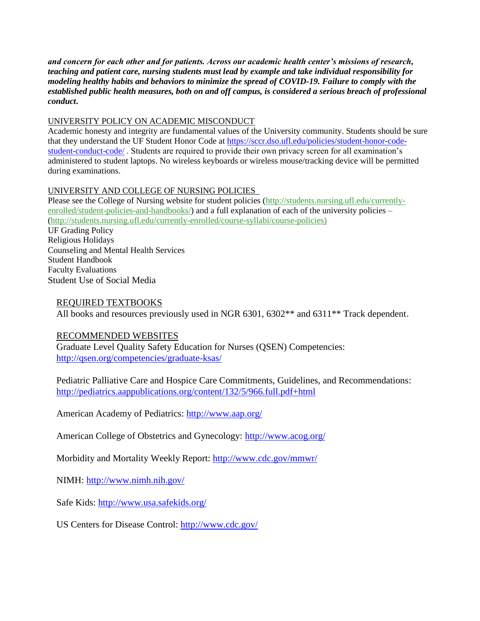*and concern for each other and for patients. Across our academic health center's missions of research, teaching and patient care, nursing students must lead by example and take individual responsibility for modeling healthy habits and behaviors to minimize the spread of COVID-19. Failure to comply with the established public health measures, both on and off campus, is considered a serious breach of professional conduct***.** 

#### UNIVERSITY POLICY ON ACADEMIC MISCONDUCT

Academic honesty and integrity are fundamental values of the University community. Students should be sure that they understand the UF Student Honor Code at [https://sccr.dso.ufl.edu/policies/student-honor-code](about:blank)[student-conduct-code/](about:blank) . Students are required to provide their own privacy screen for all examination's administered to student laptops. No wireless keyboards or wireless mouse/tracking device will be permitted during examinations.

### UNIVERSITY AND COLLEGE OF NURSING POLICIES

Please see the College of Nursing website for student policies [\(http://students.nursing.ufl.edu/currently](about:blank)[enrolled/student-policies-and-handbooks/\)](about:blank) and a full explanation of each of the university policies – [\(http://students.nursing.ufl.edu/currently-enrolled/course-syllabi/course-policies\)](about:blank) UF Grading Policy Religious Holidays Counseling and Mental Health Services Student Handbook Faculty Evaluations Student Use of Social Media

## REQUIRED TEXTBOOKS

All books and resources previously used in NGR 6301, 6302<sup>\*\*</sup> and 6311<sup>\*\*</sup> Track dependent.

## RECOMMENDED WEBSITES

Graduate Level Quality Safety Education for Nurses (QSEN) Competencies: [http://qsen.org/competencies/graduate-ksas/](about:blank)

Pediatric Palliative Care and Hospice Care Commitments, Guidelines, and Recommendations: [http://pediatrics.aappublications.org/content/132/5/966.full.pdf+html](about:blank)

American Academy of Pediatrics: [http://www.aap.org/](about:blank)

American College of Obstetrics and Gynecology: [http://www.acog.org/](about:blank)

Morbidity and Mortality Weekly Report: [http://www.cdc.gov/mmwr/](about:blank)

NIMH: [http://www.nimh.nih.gov/](about:blank)

Safe Kids: [http://www.usa.safekids.org/](about:blank)

US Centers for Disease Control: [http://www.cdc.gov/](about:blank)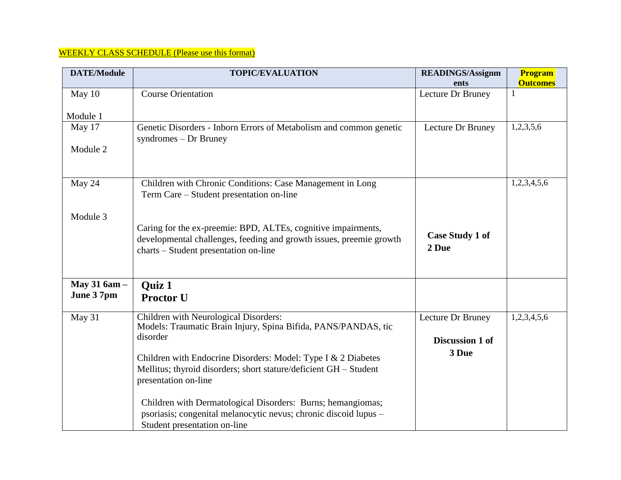# WEEKLY CLASS SCHEDULE (Please use this format)

| <b>DATE/Module</b> | <b>TOPIC/EVALUATION</b>                                                                                      | <b>READINGS/Assignm</b><br>ents | Program<br><b>Outcomes</b> |
|--------------------|--------------------------------------------------------------------------------------------------------------|---------------------------------|----------------------------|
| May 10             | <b>Course Orientation</b>                                                                                    | Lecture Dr Bruney               | 1                          |
|                    |                                                                                                              |                                 |                            |
| Module 1           |                                                                                                              |                                 |                            |
| May 17             | Genetic Disorders - Inborn Errors of Metabolism and common genetic<br>syndromes $-$ Dr Bruney                | Lecture Dr Bruney               | 1,2,3,5,6                  |
| Module 2           |                                                                                                              |                                 |                            |
|                    |                                                                                                              |                                 |                            |
| May 24             | Children with Chronic Conditions: Case Management in Long                                                    |                                 | 1,2,3,4,5,6                |
|                    | Term Care – Student presentation on-line                                                                     |                                 |                            |
| Module 3           |                                                                                                              |                                 |                            |
|                    | Caring for the ex-preemie: BPD, ALTEs, cognitive impairments,                                                | <b>Case Study 1 of</b>          |                            |
|                    | developmental challenges, feeding and growth issues, preemie growth<br>charts – Student presentation on-line | 2 Due                           |                            |
|                    |                                                                                                              |                                 |                            |
| May 31 6am -       | <b>Quiz 1</b>                                                                                                |                                 |                            |
| June 37pm          | <b>Proctor U</b>                                                                                             |                                 |                            |
| May 31             | Children with Neurological Disorders:                                                                        | Lecture Dr Bruney               | 1,2,3,4,5,6                |
|                    | Models: Traumatic Brain Injury, Spina Bifida, PANS/PANDAS, tic<br>disorder                                   | Discussion 1 of                 |                            |
|                    |                                                                                                              |                                 |                            |
|                    | Children with Endocrine Disorders: Model: Type I & 2 Diabetes                                                | 3 Due                           |                            |
|                    | Mellitus; thyroid disorders; short stature/deficient GH - Student<br>presentation on-line                    |                                 |                            |
|                    | Children with Dermatological Disorders: Burns; hemangiomas;                                                  |                                 |                            |
|                    | psoriasis; congenital melanocytic nevus; chronic discoid lupus -                                             |                                 |                            |
|                    | Student presentation on-line                                                                                 |                                 |                            |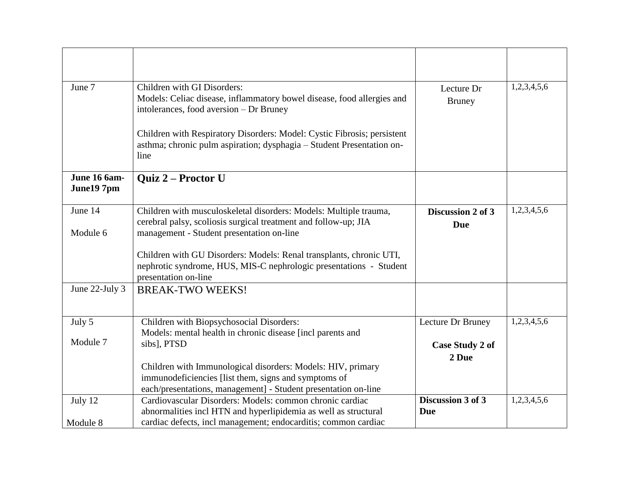| June 7         | Children with GI Disorders:                                                                | Lecture Dr             | 1,2,3,4,5,6 |
|----------------|--------------------------------------------------------------------------------------------|------------------------|-------------|
|                | Models: Celiac disease, inflammatory bowel disease, food allergies and                     | <b>Bruney</b>          |             |
|                | intolerances, food aversion - Dr Bruney                                                    |                        |             |
|                |                                                                                            |                        |             |
|                | Children with Respiratory Disorders: Model: Cystic Fibrosis; persistent                    |                        |             |
|                | asthma; chronic pulm aspiration; dysphagia - Student Presentation on-<br>line              |                        |             |
|                |                                                                                            |                        |             |
| June 16 6am-   | Quiz 2 - Proctor U                                                                         |                        |             |
| June197pm      |                                                                                            |                        |             |
| June 14        | Children with musculoskeletal disorders: Models: Multiple trauma,                          | Discussion 2 of 3      | 1,2,3,4,5,6 |
|                | cerebral palsy, scoliosis surgical treatment and follow-up; JIA                            | <b>Due</b>             |             |
| Module 6       | management - Student presentation on-line                                                  |                        |             |
|                |                                                                                            |                        |             |
|                | Children with GU Disorders: Models: Renal transplants, chronic UTI,                        |                        |             |
|                | nephrotic syndrome, HUS, MIS-C nephrologic presentations - Student<br>presentation on-line |                        |             |
| June 22-July 3 | <b>BREAK-TWO WEEKS!</b>                                                                    |                        |             |
|                |                                                                                            |                        |             |
|                |                                                                                            |                        |             |
| July 5         | Children with Biopsychosocial Disorders:                                                   | Lecture Dr Bruney      | 1,2,3,4,5,6 |
| Module 7       | Models: mental health in chronic disease [incl parents and                                 |                        |             |
|                | sibs], PTSD                                                                                | <b>Case Study 2 of</b> |             |
|                | Children with Immunological disorders: Models: HIV, primary                                | 2 Due                  |             |
|                | immunodeficiencies [list them, signs and symptoms of                                       |                        |             |
|                | each/presentations, management] - Student presentation on-line                             |                        |             |
| July 12        | Cardiovascular Disorders: Models: common chronic cardiac                                   | Discussion 3 of 3      | 1,2,3,4,5,6 |
|                | abnormalities incl HTN and hyperlipidemia as well as structural                            | Due                    |             |
| Module 8       | cardiac defects, incl management; endocarditis; common cardiac                             |                        |             |